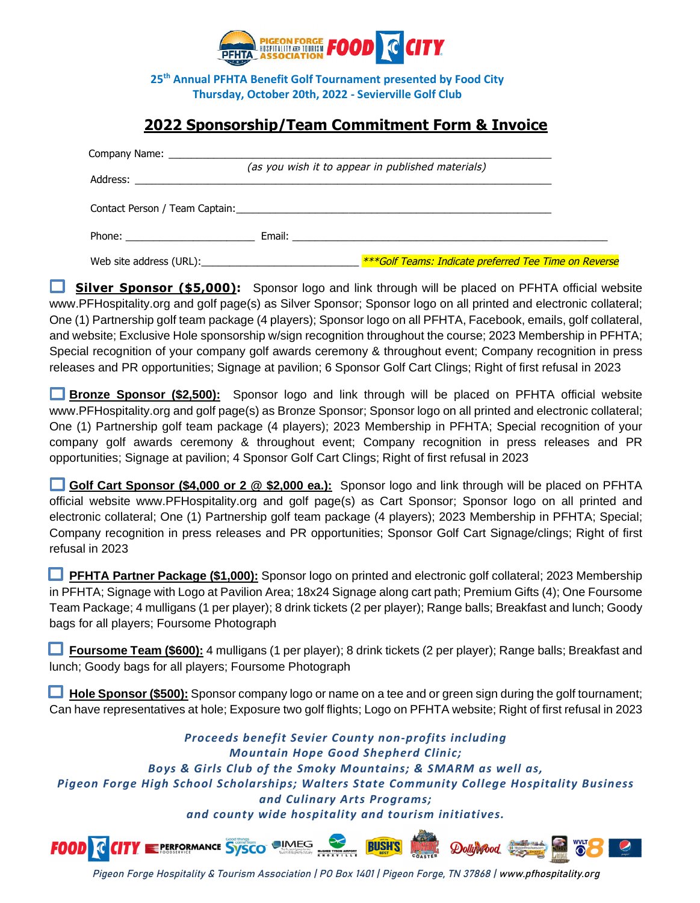

**25th Annual PFHTA Benefit Golf Tournament presented by Food City Thursday, October 20th, 2022 - Sevierville Golf Club** 

## **2022 Sponsorship/Team Commitment Form & Invoice**

|                                                                                                                                                                                                                                      | Company Name: Name: Name: Name: Name: Name: Name: Name: Name: Name: Name: Name: Name: Name: Name: Name: Name: Name: Name: Name: Name: Name: Name: Name: Name: Name: Name: Name: Name: Name: Name: Name: Name: Name: Name: Name<br>(as you wish it to appear in published materials) |
|--------------------------------------------------------------------------------------------------------------------------------------------------------------------------------------------------------------------------------------|-------------------------------------------------------------------------------------------------------------------------------------------------------------------------------------------------------------------------------------------------------------------------------------|
|                                                                                                                                                                                                                                      |                                                                                                                                                                                                                                                                                     |
|                                                                                                                                                                                                                                      | Contact Person / Team Captain: North and South American State Contact Person / Team Captain:                                                                                                                                                                                        |
| Phone: <u>with the contract of the contract of the contract of the contract of the contract of the contract of the contract of the contract of the contract of the contract of the contract of the contract of the contract of t</u> |                                                                                                                                                                                                                                                                                     |
|                                                                                                                                                                                                                                      | <b>***Golf Teams: Indicate preferred Tee Time on Reverse</b>                                                                                                                                                                                                                        |

**Silver Sponsor (\$5,000):** Sponsor logo and link through will be placed on PFHTA official website [www.PFHospitality.org](http://www.pfhospitality.org/) and golf page(s) as Silver Sponsor; Sponsor logo on all printed and electronic collateral; One (1) Partnership golf team package (4 players); Sponsor logo on all PFHTA, Facebook, emails, golf collateral, and website; Exclusive Hole sponsorship w/sign recognition throughout the course; 2023 Membership in PFHTA; Special recognition of your company golf awards ceremony & throughout event; Company recognition in press releases and PR opportunities; Signage at pavilion; 6 Sponsor Golf Cart Clings; Right of first refusal in 2023

 **Bronze Sponsor (\$2,500):** Sponsor logo and link through will be placed on PFHTA official website [www.PFHospitality.org](http://www.pfhospitality.org/) and golf page(s) as Bronze Sponsor; Sponsor logo on all printed and electronic collateral; One (1) Partnership golf team package (4 players); 2023 Membership in PFHTA; Special recognition of your company golf awards ceremony & throughout event; Company recognition in press releases and PR opportunities; Signage at pavilion; 4 Sponsor Golf Cart Clings; Right of first refusal in 2023

 **Golf Cart Sponsor (\$4,000 or 2 @ \$2,000 ea.):** Sponsor logo and link through will be placed on PFHTA official website [www.PFHospitality.org](http://www.pfhospitality.org/) and golf page(s) as Cart Sponsor; Sponsor logo on all printed and electronic collateral; One (1) Partnership golf team package (4 players); 2023 Membership in PFHTA; Special; Company recognition in press releases and PR opportunities; Sponsor Golf Cart Signage/clings; Right of first refusal in 2023

**PFHTA Partner Package (\$1,000):** Sponsor logo on printed and electronic golf collateral; 2023 Membership in PFHTA; Signage with Logo at Pavilion Area; 18x24 Signage along cart path; Premium Gifts (4); One Foursome Team Package; 4 mulligans (1 per player); 8 drink tickets (2 per player); Range balls; Breakfast and lunch; Goody bags for all players; Foursome Photograph

 **Foursome Team (\$600):** 4 mulligans (1 per player); 8 drink tickets (2 per player); Range balls; Breakfast and lunch; Goody bags for all players; Foursome Photograph

**Hole Sponsor (\$500):** Sponsor company logo or name on a tee and or green sign during the golf tournament; Can have representatives at hole; Exposure two golf flights; Logo on PFHTA website; Right of first refusal in 2023

*Proceeds benefit Sevier County non-profits including Mountain Hope Good Shepherd Clinic; Boys & Girls Club of the Smoky Mountains; & SMARM as well as, Pigeon Forge High School Scholarships; Walters State Community College Hospitality Business and Culinary Arts Programs; and county wide hospitality and tourism initiatives.* 

**EPERFORMANCE SYSCO OIMEG FOOD C BUSH'S** Dollywood

Pigeon Forge Hospitality & Tourism Association | PO Box 1401 | Pigeon Forge, TN 37868 | www.pfhospitality.org